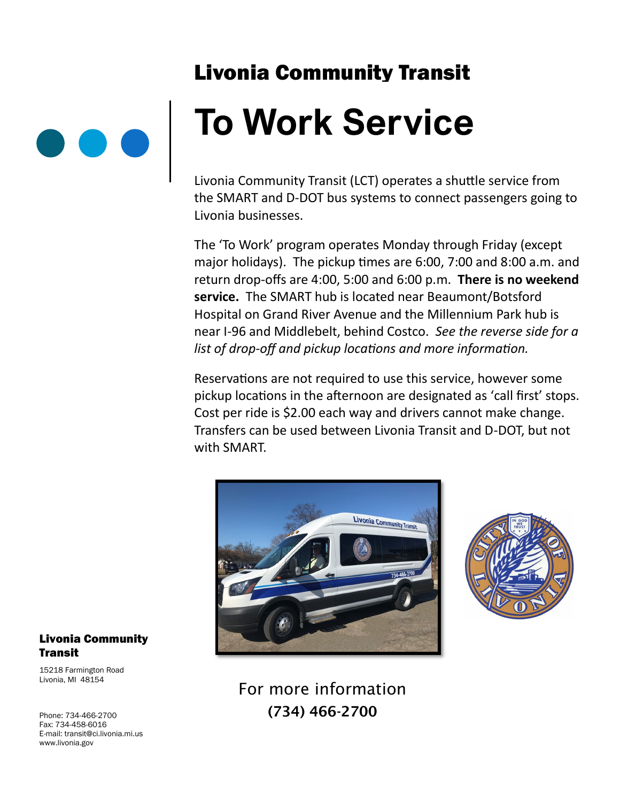## Livonia Community Transit



Livonia Community Transit (LCT) operates a shuttle service from the SMART and D-DOT bus systems to connect passengers going to Livonia businesses.

The 'To Work' program operates Monday through Friday (except major holidays). The pickup times are 6:00, 7:00 and 8:00 a.m. and return drop-offs are 4:00, 5:00 and 6:00 p.m. **There is no weekend service.** The SMART hub is located near Beaumont/Botsford Hospital on Grand River Avenue and the Millennium Park hub is near I-96 and Middlebelt, behind Costco. *See the reverse side for a list of drop-off and pickup locations and more information.*

Reservations are not required to use this service, however some pickup locations in the afternoon are designated as 'call first' stops. Cost per ride is \$2.00 each way and drivers cannot make change. Transfers can be used between Livonia Transit and D-DOT, but not with SMART.





### For more information (734) 466-2700

#### Livonia Community **Transit**

15218 Farmington Road Livonia, MI 48154

Phone: 734-466-2700 Fax: 734-458-6016 E-mail: transit@ci.livonia.mi.us www.livonia.gov